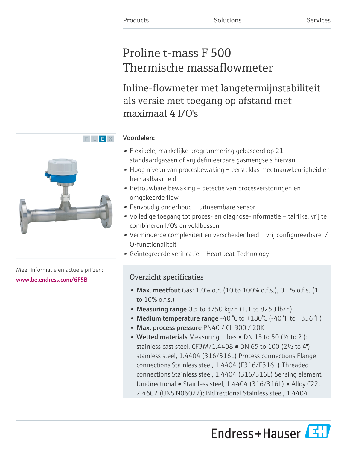# Proline t-mass F 500 Thermische massaflowmeter

Inline-flowmeter met langetermijnstabiliteit als versie met toegang op afstand met maximaal 4 I/O's

# Voordelen:

- Flexibele, makkelijke programmering gebaseerd op 21 standaardgassen of vrij definieerbare gasmengsels hiervan
- Hoog niveau van procesbewaking eersteklas meetnauwkeurigheid en herhaalbaarheid
- Betrouwbare bewaking detectie van procesverstoringen en omgekeerde flow
- Eenvoudig onderhoud uitneembare sensor
- Volledige toegang tot proces- en diagnose-informatie talrijke, vrij te combineren I/O's en veldbussen
- Verminderde complexiteit en verscheidenheid vrij configureerbare I/ O-functionaliteit
- Geïntegreerde verificatie Heartbeat Technology

# Overzicht specificaties

- Max. meetfout Gas:  $1.0\%$  o.r. (10 to  $100\%$  o.f.s.), 0.1% o.f.s. (1 to 10% o.f.s.)
- Measuring range  $0.5$  to 3750 kg/h  $(1.1$  to 8250 lb/h)
- Medium temperature range -40 °C to +180°C (-40 °F to +356 °F)
- Max. process pressure PN40 / Cl. 300 / 20K
- Wetted materials Measuring tubes DN 15 to 50 ( $\frac{1}{2}$  to 2"): stainless cast steel, CF3M/1.4408 • DN 65 to 100 (2½ to 4"): stainless steel, 1.4404 (316/316L) Process connections Flange connections Stainless steel, 1.4404 (F316/F316L) Threaded connections Stainless steel, 1.4404 (316/316L) Sensing element Unidirectional • Stainless steel, 1.4404 (316/316L) • Alloy C22, 2.4602 (UNS N06022); Bidirectional Stainless steel, 1.4404





Meer informatie en actuele prijzen: [www.be.endress.com/6F5B](https://www.be.endress.com/6F5B)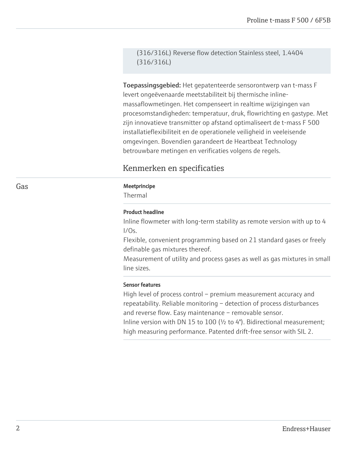(316/316L) Reverse flow detection Stainless steel, 1.4404 (316/316L)

Toepassingsgebied: Het gepatenteerde sensorontwerp van t-mass F levert ongeëvenaarde meetstabiliteit bij thermische inlinemassaflowmetingen. Het compenseert in realtime wijzigingen van procesomstandigheden: temperatuur, druk, flowrichting en gastype. Met zijn innovatieve transmitter op afstand optimaliseert de t-mass F 500 installatieflexibiliteit en de operationele veiligheid in veeleisende omgevingen. Bovendien garandeert de Heartbeat Technology betrouwbare metingen en verificaties volgens de regels.

# Kenmerken en specificaties

### Gas **Gas** Meetprincipe

Thermal

# Product headline

Inline flowmeter with long-term stability as remote version with up to 4 I/Os.

Flexible, convenient programming based on 21 standard gases or freely definable gas mixtures thereof.

Measurement of utility and process gases as well as gas mixtures in small line sizes.

#### Sensor features

High level of process control – premium measurement accuracy and repeatability. Reliable monitoring – detection of process disturbances and reverse flow. Easy maintenance – removable sensor. Inline version with DN 15 to 100 (½ to 4"). Bidirectional measurement; high measuring performance. Patented drift-free sensor with SIL 2.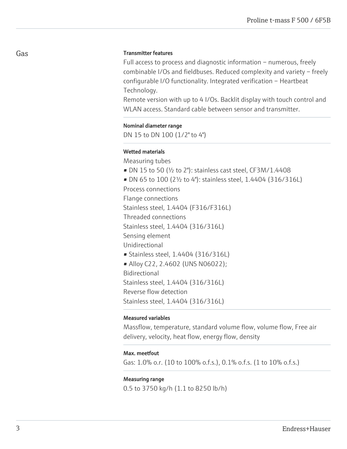# Transmitter features

Full access to process and diagnostic information – numerous, freely combinable I/Os and fieldbuses. Reduced complexity and variety – freely configurable I/O functionality. Integrated verification – Heartbeat Technology.

Remote version with up to 4 I/Os. Backlit display with touch control and WLAN access. Standard cable between sensor and transmitter.

#### Nominal diameter range

DN 15 to DN 100 (1/2" to 4")

## Wetted materials

Measuring tubes • DN 15 to 50 ( $\frac{1}{2}$  to 2"): stainless cast steel, CF3M/1.4408 • DN 65 to 100 (2½ to 4"): stainless steel, 1.4404 (316/316L) Process connections Flange connections Stainless steel, 1.4404 (F316/F316L) Threaded connections Stainless steel, 1.4404 (316/316L) Sensing element Unidirectional • Stainless steel, 1.4404 (316/316L) • Alloy C22, 2.4602 (UNS N06022); Bidirectional Stainless steel, 1.4404 (316/316L) Reverse flow detection Stainless steel, 1.4404 (316/316L)

# Measured variables

Massflow, temperature, standard volume flow, volume flow, Free air delivery, velocity, heat flow, energy flow, density

#### Max. meetfout

Gas: 1.0% o.r. (10 to 100% o.f.s.), 0.1% o.f.s. (1 to 10% o.f.s.)

#### Measuring range

0.5 to 3750 kg/h (1.1 to 8250 lb/h)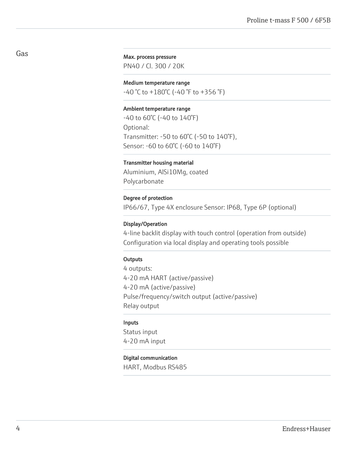# Max. process pressure

PN40 / Cl. 300 / 20K

# Medium temperature range

 $-40$  °C to  $+180$ °C (-40 °F to  $+356$  °F)

#### Ambient temperature range

-40 to 60°C (-40 to 140°F) Optional: Transmitter: -50 to 60°C (-50 to 140°F), Sensor: -60 to 60°C (-60 to 140°F)

#### Transmitter housing material

Aluminium, AlSi10Mg, coated Polycarbonate

#### Degree of protection

IP66/67, Type 4X enclosure Sensor: IP68, Type 6P (optional)

## Display/Operation

4-line backlit display with touch control (operation from outside) Configuration via local display and operating tools possible

#### **Outputs**

4 outputs: 4-20 mA HART (active/passive) 4-20 mA (active/passive) Pulse/frequency/switch output (active/passive) Relay output

#### Inputs

Status input 4-20 mA input

#### Digital communication

HART, Modbus RS485